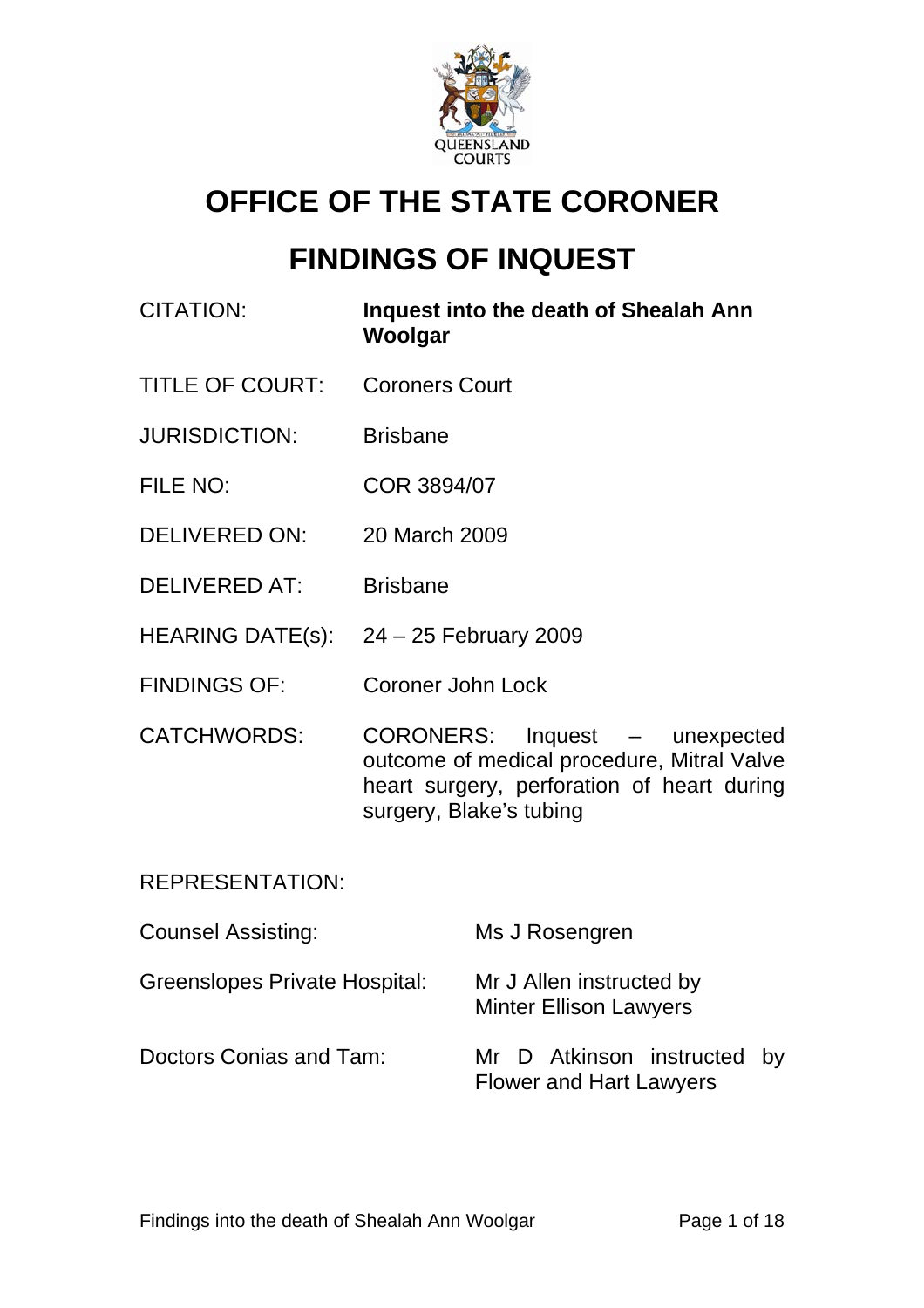

# **OFFICE OF THE STATE CORONER**

# **FINDINGS OF INQUEST**

- CITATION: **Inquest into the death of Shealah Ann Woolgar**
- TITLE OF COURT: Coroners Court
- JURISDICTION: Brisbane
- FILE NO: COR 3894/07
- DELIVERED ON: 20 March 2009
- DELIVERED AT: Brisbane
- HEARING DATE(s): 24 25 February 2009
- FINDINGS OF: Coroner John Lock
- CATCHWORDS: CORONERS: Inquest unexpected outcome of medical procedure, Mitral Valve heart surgery, perforation of heart during surgery, Blake's tubing

## REPRESENTATION:

| <b>Counsel Assisting:</b>            | Ms J Rosengren                                                |
|--------------------------------------|---------------------------------------------------------------|
| <b>Greenslopes Private Hospital:</b> | Mr J Allen instructed by<br><b>Minter Ellison Lawyers</b>     |
| Doctors Conias and Tam:              | Mr D Atkinson instructed by<br><b>Flower and Hart Lawyers</b> |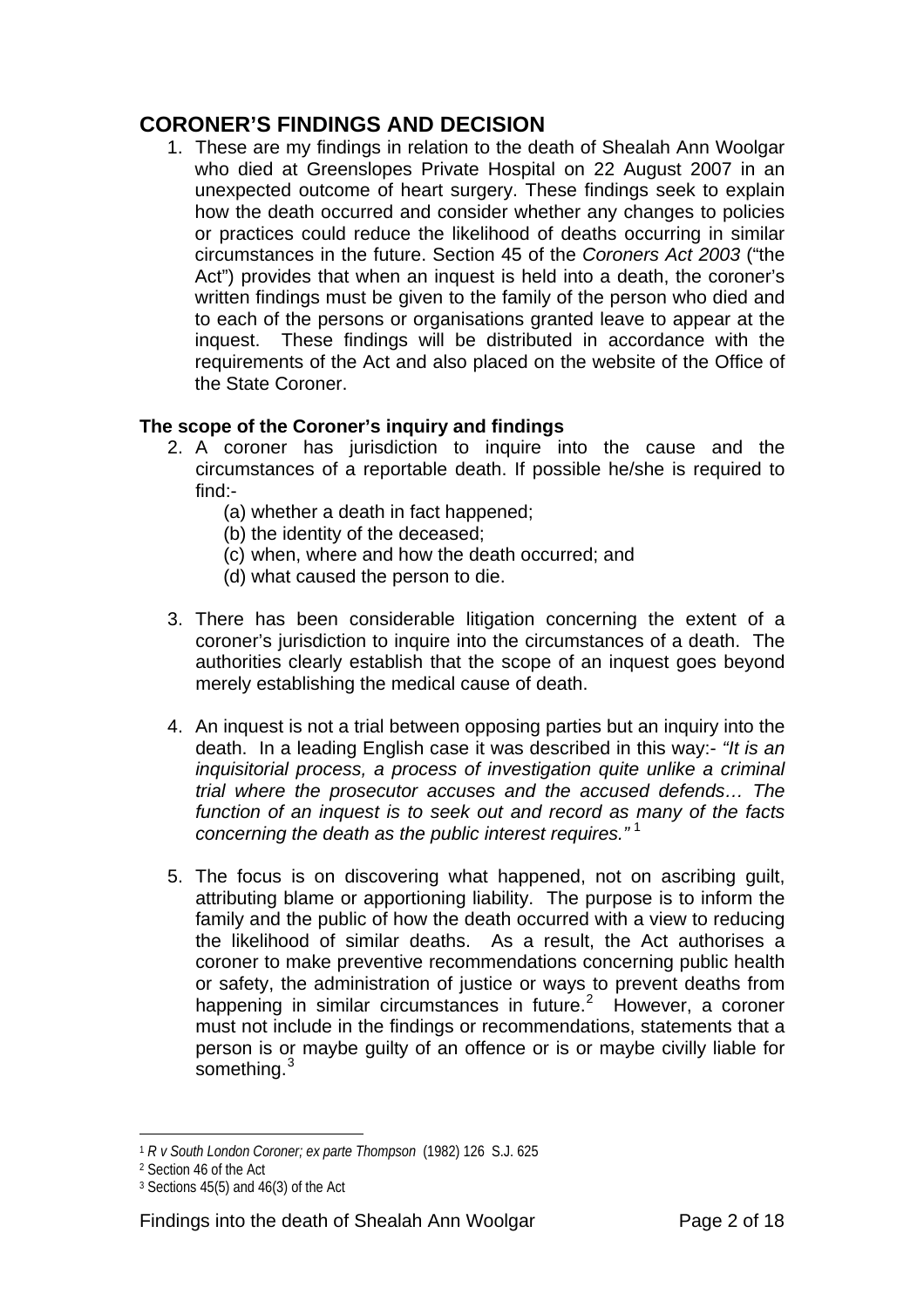## **CORONER'S FINDINGS AND DECISION**

1. These are my findings in relation to the death of Shealah Ann Woolgar who died at Greenslopes Private Hospital on 22 August 2007 in an unexpected outcome of heart surgery. These findings seek to explain how the death occurred and consider whether any changes to policies or practices could reduce the likelihood of deaths occurring in similar circumstances in the future. Section 45 of the *Coroners Act 2003* ("the Act") provides that when an inquest is held into a death, the coroner's written findings must be given to the family of the person who died and to each of the persons or organisations granted leave to appear at the inquest. These findings will be distributed in accordance with the requirements of the Act and also placed on the website of the Office of the State Coroner.

## **The scope of the Coroner's inquiry and findings**

- 2. A coroner has jurisdiction to inquire into the cause and the circumstances of a reportable death. If possible he/she is required to find:-
	- (a) whether a death in fact happened;
	- (b) the identity of the deceased;
	- (c) when, where and how the death occurred; and
	- (d) what caused the person to die.
- 3. There has been considerable litigation concerning the extent of a coroner's jurisdiction to inquire into the circumstances of a death. The authorities clearly establish that the scope of an inquest goes beyond merely establishing the medical cause of death.
- 4. An inquest is not a trial between opposing parties but an inquiry into the death. In a leading English case it was described in this way:- *"It is an inquisitorial process, a process of investigation quite unlike a criminal trial where the prosecutor accuses and the accused defends… The function of an inquest is to seek out and record as many of the facts concerning the death as the public interest requires."* [1](#page-1-0)
- 5. The focus is on discovering what happened, not on ascribing guilt, attributing blame or apportioning liability. The purpose is to inform the family and the public of how the death occurred with a view to reducing the likelihood of similar deaths. As a result, the Act authorises a coroner to make preventive recommendations concerning public health or safety, the administration of justice or ways to prevent deaths from happening in similar circumstances in future.<sup>[2](#page-1-1)</sup> However, a coroner must not include in the findings or recommendations, statements that a person is or maybe guilty of an offence or is or maybe civilly liable for something.<sup>[3](#page-1-2)</sup>

 $\overline{a}$ <sup>1</sup> *R v South London Coroner; ex parte Thompson* (1982) 126 S.J. 625

<span id="page-1-1"></span><span id="page-1-0"></span><sup>2</sup> Section 46 of the Act

<span id="page-1-2"></span> $3$  Sections 45(5) and 46(3) of the Act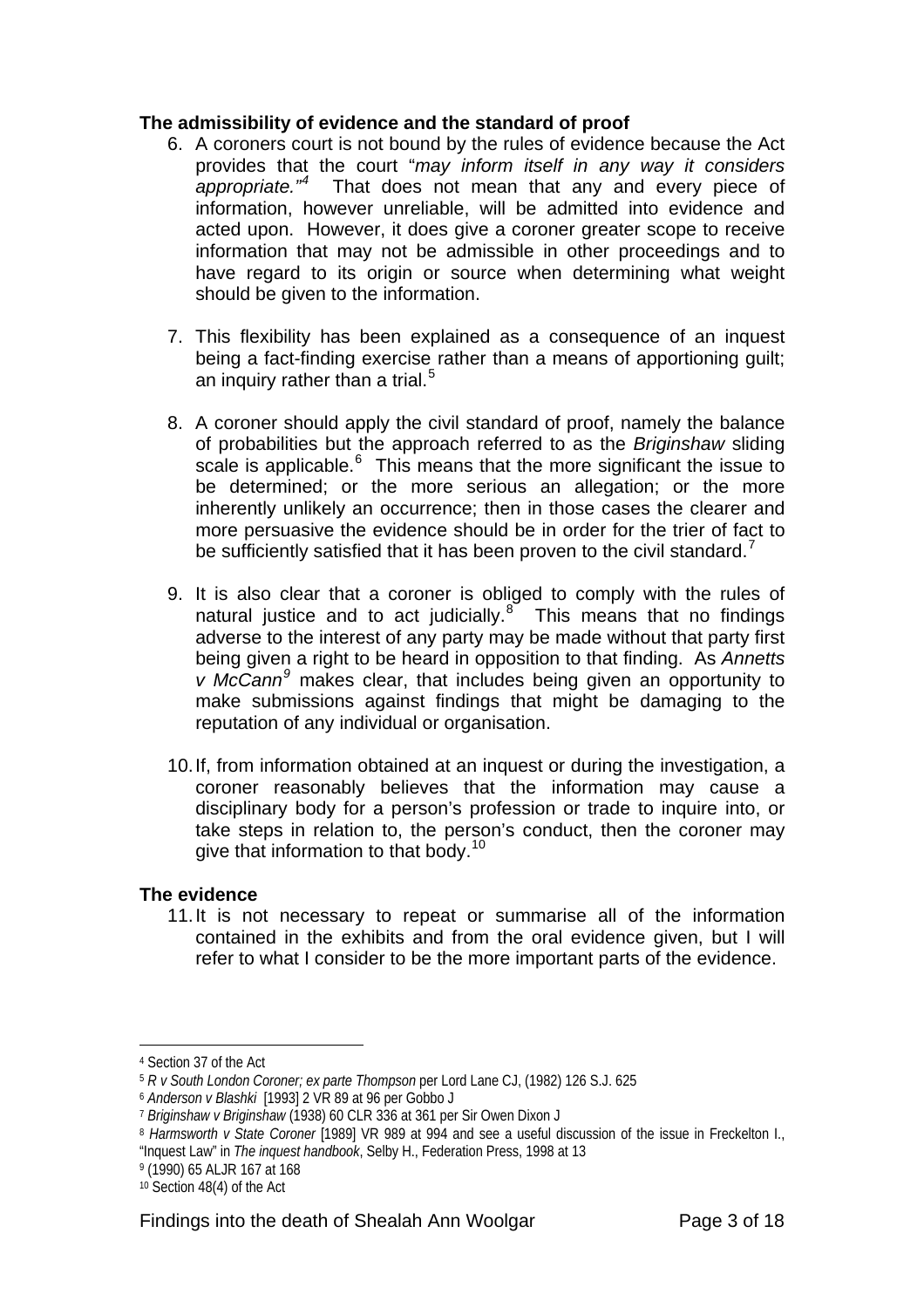#### **The admissibility of evidence and the standard of proof**

- 6. A coroners court is not bound by the rules of evidence because the Act provides that the court "*may inform itself in any way it considers appropriate."[4](#page-2-0)* That does not mean that any and every piece of information, however unreliable, will be admitted into evidence and acted upon. However, it does give a coroner greater scope to receive information that may not be admissible in other proceedings and to have regard to its origin or source when determining what weight should be given to the information.
- 7. This flexibility has been explained as a consequence of an inquest being a fact-finding exercise rather than a means of apportioning guilt; an inquiry rather than a trial.<sup>[5](#page-2-1)</sup>
- 8. A coroner should apply the civil standard of proof, namely the balance of probabilities but the approach referred to as the *Briginshaw* sliding scale is applicable.<sup>[6](#page-2-2)</sup> This means that the more significant the issue to be determined; or the more serious an allegation; or the more inherently unlikely an occurrence; then in those cases the clearer and more persuasive the evidence should be in order for the trier of fact to be sufficiently satisfied that it has been proven to the civil standard.<sup>[7](#page-2-3)</sup>
- 9. It is also clear that a coroner is obliged to comply with the rules of natural justice and to act judicially. $8^{\circ}$  $8^{\circ}$  This means that no findings adverse to the interest of any party may be made without that party first being given a right to be heard in opposition to that finding. As *Annetts v McCann[9](#page-2-5)* makes clear, that includes being given an opportunity to make submissions against findings that might be damaging to the reputation of any individual or organisation.
- 10. If, from information obtained at an inquest or during the investigation, a coroner reasonably believes that the information may cause a disciplinary body for a person's profession or trade to inquire into, or take steps in relation to, the person's conduct, then the coroner may give that information to that body.<sup>[10](#page-2-6)</sup>

## **The evidence**

11. It is not necessary to repeat or summarise all of the information contained in the exhibits and from the oral evidence given, but I will refer to what I consider to be the more important parts of the evidence.

 $\overline{a}$ 

"Inquest Law" in *The inquest handbook*, Selby H., Federation Press, 1998 at 13

<span id="page-2-0"></span><sup>4</sup> Section 37 of the Act

<span id="page-2-1"></span><sup>5</sup> *R v South London Coroner; ex parte Thompson* per Lord Lane CJ, (1982) 126 S.J. 625

<span id="page-2-2"></span><sup>6</sup> *Anderson v Blashki* [1993] 2 VR 89 at 96 per Gobbo J

<span id="page-2-3"></span><sup>7</sup> *Briginshaw v Briginshaw* (1938) 60 CLR 336 at 361 per Sir Owen Dixon J

<span id="page-2-4"></span><sup>8</sup> *Harmsworth v State Coroner* [1989] VR 989 at 994 and see a useful discussion of the issue in Freckelton I.,

<span id="page-2-5"></span><sup>9 (1990) 65</sup> ALJR 167 at 168

<span id="page-2-6"></span><sup>10</sup> Section 48(4) of the Act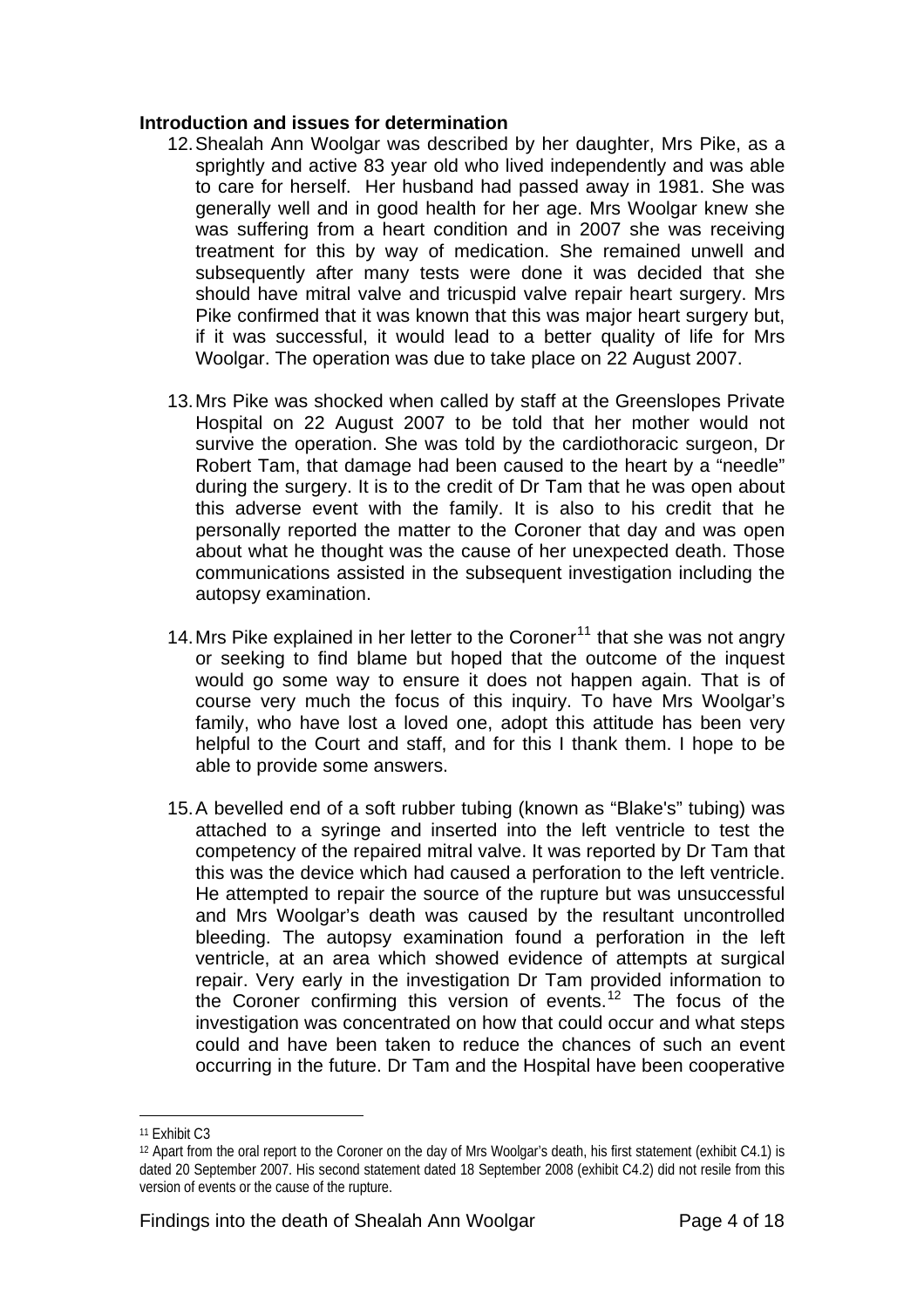#### **Introduction and issues for determination**

- 12. Shealah Ann Woolgar was described by her daughter, Mrs Pike, as a sprightly and active 83 year old who lived independently and was able to care for herself. Her husband had passed away in 1981. She was generally well and in good health for her age. Mrs Woolgar knew she was suffering from a heart condition and in 2007 she was receiving treatment for this by way of medication. She remained unwell and subsequently after many tests were done it was decided that she should have mitral valve and tricuspid valve repair heart surgery. Mrs Pike confirmed that it was known that this was major heart surgery but, if it was successful, it would lead to a better quality of life for Mrs Woolgar. The operation was due to take place on 22 August 2007.
- 13. Mrs Pike was shocked when called by staff at the Greenslopes Private Hospital on 22 August 2007 to be told that her mother would not survive the operation. She was told by the cardiothoracic surgeon, Dr Robert Tam, that damage had been caused to the heart by a "needle" during the surgery. It is to the credit of Dr Tam that he was open about this adverse event with the family. It is also to his credit that he personally reported the matter to the Coroner that day and was open about what he thought was the cause of her unexpected death. Those communications assisted in the subsequent investigation including the autopsy examination.
- 14. Mrs Pike explained in her letter to the Coroner<sup>[11](#page-3-0)</sup> that she was not angry or seeking to find blame but hoped that the outcome of the inquest would go some way to ensure it does not happen again. That is of course very much the focus of this inquiry. To have Mrs Woolgar's family, who have lost a loved one, adopt this attitude has been very helpful to the Court and staff, and for this I thank them. I hope to be able to provide some answers.
- 15. A bevelled end of a soft rubber tubing (known as "Blake's" tubing) was attached to a syringe and inserted into the left ventricle to test the competency of the repaired mitral valve. It was reported by Dr Tam that this was the device which had caused a perforation to the left ventricle. He attempted to repair the source of the rupture but was unsuccessful and Mrs Woolgar's death was caused by the resultant uncontrolled bleeding. The autopsy examination found a perforation in the left ventricle, at an area which showed evidence of attempts at surgical repair. Very early in the investigation Dr Tam provided information to the Coroner confirming this version of events.<sup>[12](#page-3-1)</sup> The focus of the investigation was concentrated on how that could occur and what steps could and have been taken to reduce the chances of such an event occurring in the future. Dr Tam and the Hospital have been cooperative

<span id="page-3-0"></span><sup>11</sup> Exhibit C3

<span id="page-3-1"></span><sup>12</sup> Apart from the oral report to the Coroner on the day of Mrs Woolgar's death, his first statement (exhibit C4.1) is dated 20 September 2007. His second statement dated 18 September 2008 (exhibit C4.2) did not resile from this version of events or the cause of the rupture.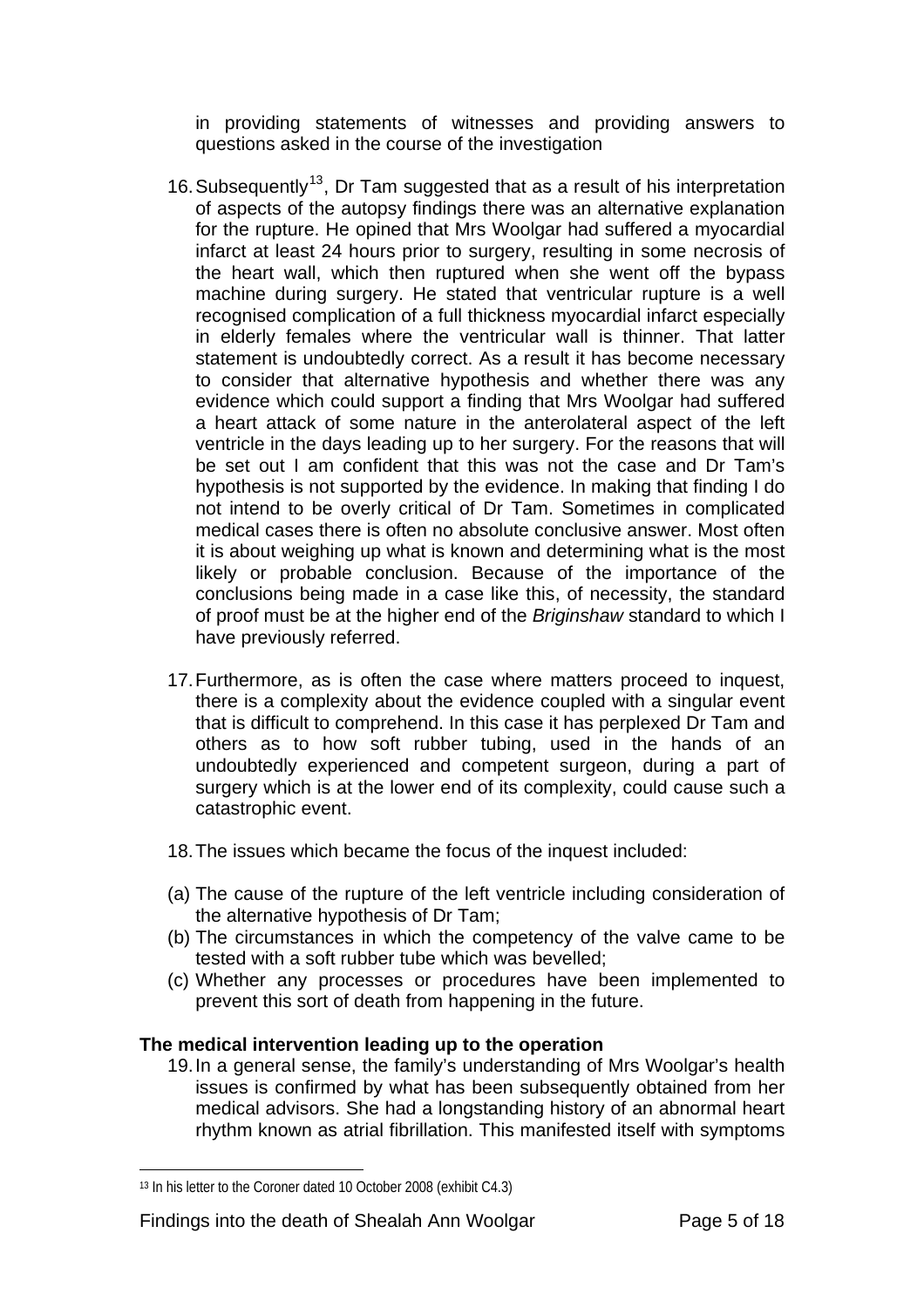in providing statements of witnesses and providing answers to questions asked in the course of the investigation

- 16. Subsequently<sup>[13](#page-4-0)</sup>, Dr Tam suggested that as a result of his interpretation of aspects of the autopsy findings there was an alternative explanation for the rupture. He opined that Mrs Woolgar had suffered a myocardial infarct at least 24 hours prior to surgery, resulting in some necrosis of the heart wall, which then ruptured when she went off the bypass machine during surgery. He stated that ventricular rupture is a well recognised complication of a full thickness myocardial infarct especially in elderly females where the ventricular wall is thinner. That latter statement is undoubtedly correct. As a result it has become necessary to consider that alternative hypothesis and whether there was any evidence which could support a finding that Mrs Woolgar had suffered a heart attack of some nature in the anterolateral aspect of the left ventricle in the days leading up to her surgery. For the reasons that will be set out I am confident that this was not the case and Dr Tam's hypothesis is not supported by the evidence. In making that finding I do not intend to be overly critical of Dr Tam. Sometimes in complicated medical cases there is often no absolute conclusive answer. Most often it is about weighing up what is known and determining what is the most likely or probable conclusion. Because of the importance of the conclusions being made in a case like this, of necessity, the standard of proof must be at the higher end of the *Briginshaw* standard to which I have previously referred.
- 17. Furthermore, as is often the case where matters proceed to inquest, there is a complexity about the evidence coupled with a singular event that is difficult to comprehend. In this case it has perplexed Dr Tam and others as to how soft rubber tubing, used in the hands of an undoubtedly experienced and competent surgeon, during a part of surgery which is at the lower end of its complexity, could cause such a catastrophic event.
- 18. The issues which became the focus of the inquest included:
- (a) The cause of the rupture of the left ventricle including consideration of the alternative hypothesis of Dr Tam;
- (b) The circumstances in which the competency of the valve came to be tested with a soft rubber tube which was bevelled;
- (c) Whether any processes or procedures have been implemented to prevent this sort of death from happening in the future.

## **The medical intervention leading up to the operation**

19. In a general sense, the family's understanding of Mrs Woolgar's health issues is confirmed by what has been subsequently obtained from her medical advisors. She had a longstanding history of an abnormal heart rhythm known as atrial fibrillation. This manifested itself with symptoms

<span id="page-4-0"></span><sup>13</sup> In his letter to the Coroner dated 10 October 2008 (exhibit C4.3)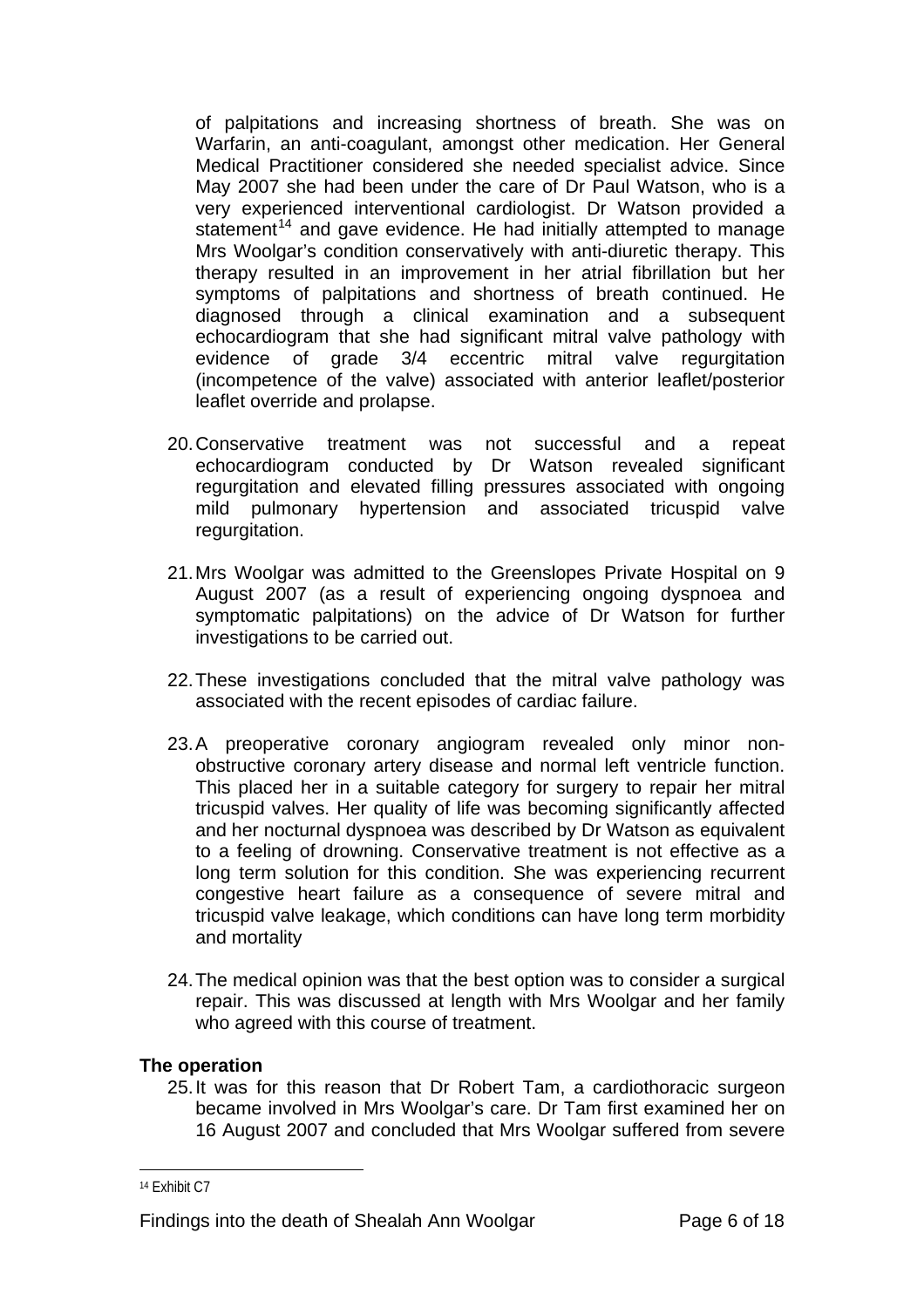of palpitations and increasing shortness of breath. She was on Warfarin, an anti-coagulant, amongst other medication. Her General Medical Practitioner considered she needed specialist advice. Since May 2007 she had been under the care of Dr Paul Watson, who is a very experienced interventional cardiologist. Dr Watson provided a statement<sup>[14](#page-5-0)</sup> and gave evidence. He had initially attempted to manage Mrs Woolgar's condition conservatively with anti-diuretic therapy. This therapy resulted in an improvement in her atrial fibrillation but her symptoms of palpitations and shortness of breath continued. He diagnosed through a clinical examination and a subsequent echocardiogram that she had significant mitral valve pathology with evidence of grade 3/4 eccentric mitral valve regurgitation (incompetence of the valve) associated with anterior leaflet/posterior leaflet override and prolapse.

- 20. Conservative treatment was not successful and a repeat echocardiogram conducted by Dr Watson revealed significant regurgitation and elevated filling pressures associated with ongoing mild pulmonary hypertension and associated tricuspid valve regurgitation.
- 21. Mrs Woolgar was admitted to the Greenslopes Private Hospital on 9 August 2007 (as a result of experiencing ongoing dyspnoea and symptomatic palpitations) on the advice of Dr Watson for further investigations to be carried out.
- 22. These investigations concluded that the mitral valve pathology was associated with the recent episodes of cardiac failure.
- 23. A preoperative coronary angiogram revealed only minor nonobstructive coronary artery disease and normal left ventricle function. This placed her in a suitable category for surgery to repair her mitral tricuspid valves. Her quality of life was becoming significantly affected and her nocturnal dyspnoea was described by Dr Watson as equivalent to a feeling of drowning. Conservative treatment is not effective as a long term solution for this condition. She was experiencing recurrent congestive heart failure as a consequence of severe mitral and tricuspid valve leakage, which conditions can have long term morbidity and mortality
- 24. The medical opinion was that the best option was to consider a surgical repair. This was discussed at length with Mrs Woolgar and her family who agreed with this course of treatment.

#### **The operation**

25. It was for this reason that Dr Robert Tam, a cardiothoracic surgeon became involved in Mrs Woolgar's care. Dr Tam first examined her on 16 August 2007 and concluded that Mrs Woolgar suffered from severe

<span id="page-5-0"></span><sup>14</sup> Exhibit C7

Findings into the death of Shealah Ann Woolgar Page 6 of 18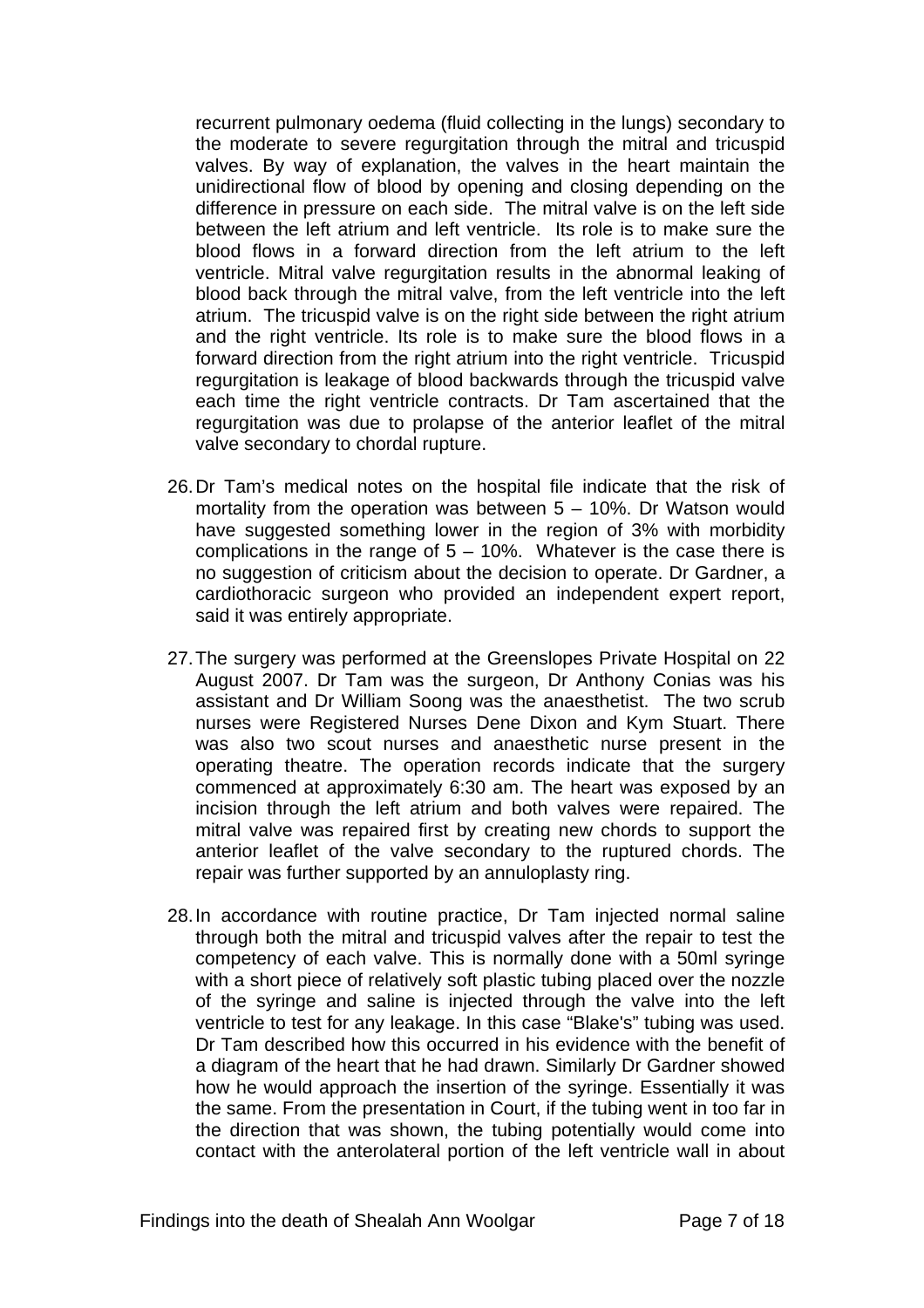recurrent pulmonary oedema (fluid collecting in the lungs) secondary to the moderate to severe regurgitation through the mitral and tricuspid valves. By way of explanation, the valves in the heart maintain the unidirectional flow of blood by opening and closing depending on the difference in pressure on each side. The mitral valve is on the left side between the left atrium and left ventricle. Its role is to make sure the blood flows in a forward direction from the left atrium to the left ventricle. Mitral valve regurgitation results in the abnormal leaking of blood back through the mitral valve, from the left ventricle into the left atrium. The tricuspid valve is on the right side between the right atrium and the right ventricle. Its role is to make sure the blood flows in a forward direction from the right atrium into the right ventricle. Tricuspid regurgitation is leakage of blood backwards through the tricuspid valve each time the right ventricle contracts. Dr Tam ascertained that the regurgitation was due to prolapse of the anterior leaflet of the mitral valve secondary to chordal rupture.

- 26. Dr Tam's medical notes on the hospital file indicate that the risk of mortality from the operation was between 5 – 10%. Dr Watson would have suggested something lower in the region of 3% with morbidity complications in the range of  $5 - 10\%$ . Whatever is the case there is no suggestion of criticism about the decision to operate. Dr Gardner, a cardiothoracic surgeon who provided an independent expert report, said it was entirely appropriate.
- 27. The surgery was performed at the Greenslopes Private Hospital on 22 August 2007. Dr Tam was the surgeon, Dr Anthony Conias was his assistant and Dr William Soong was the anaesthetist. The two scrub nurses were Registered Nurses Dene Dixon and Kym Stuart. There was also two scout nurses and anaesthetic nurse present in the operating theatre. The operation records indicate that the surgery commenced at approximately 6:30 am. The heart was exposed by an incision through the left atrium and both valves were repaired. The mitral valve was repaired first by creating new chords to support the anterior leaflet of the valve secondary to the ruptured chords. The repair was further supported by an annuloplasty ring.
- 28. In accordance with routine practice, Dr Tam injected normal saline through both the mitral and tricuspid valves after the repair to test the competency of each valve. This is normally done with a 50ml syringe with a short piece of relatively soft plastic tubing placed over the nozzle of the syringe and saline is injected through the valve into the left ventricle to test for any leakage. In this case "Blake's" tubing was used. Dr Tam described how this occurred in his evidence with the benefit of a diagram of the heart that he had drawn. Similarly Dr Gardner showed how he would approach the insertion of the syringe. Essentially it was the same. From the presentation in Court, if the tubing went in too far in the direction that was shown, the tubing potentially would come into contact with the anterolateral portion of the left ventricle wall in about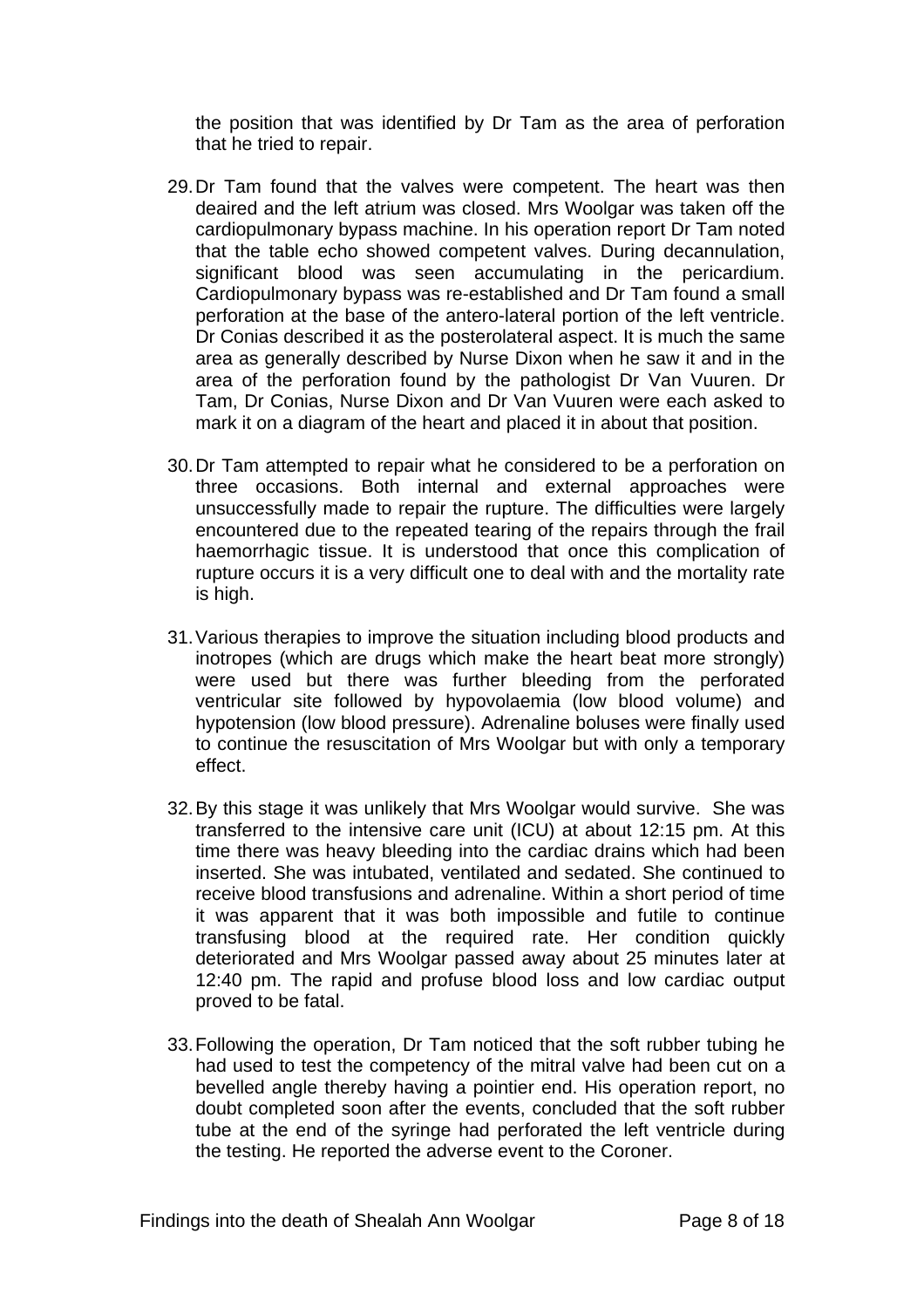the position that was identified by Dr Tam as the area of perforation that he tried to repair.

- 29. Dr Tam found that the valves were competent. The heart was then deaired and the left atrium was closed. Mrs Woolgar was taken off the cardiopulmonary bypass machine. In his operation report Dr Tam noted that the table echo showed competent valves. During decannulation, significant blood was seen accumulating in the pericardium. Cardiopulmonary bypass was re-established and Dr Tam found a small perforation at the base of the antero-lateral portion of the left ventricle. Dr Conias described it as the posterolateral aspect. It is much the same area as generally described by Nurse Dixon when he saw it and in the area of the perforation found by the pathologist Dr Van Vuuren. Dr Tam, Dr Conias, Nurse Dixon and Dr Van Vuuren were each asked to mark it on a diagram of the heart and placed it in about that position.
- 30. Dr Tam attempted to repair what he considered to be a perforation on three occasions. Both internal and external approaches were unsuccessfully made to repair the rupture. The difficulties were largely encountered due to the repeated tearing of the repairs through the frail haemorrhagic tissue. It is understood that once this complication of rupture occurs it is a very difficult one to deal with and the mortality rate is high.
- 31. Various therapies to improve the situation including blood products and inotropes (which are drugs which make the heart beat more strongly) were used but there was further bleeding from the perforated ventricular site followed by hypovolaemia (low blood volume) and hypotension (low blood pressure). Adrenaline boluses were finally used to continue the resuscitation of Mrs Woolgar but with only a temporary effect.
- 32. By this stage it was unlikely that Mrs Woolgar would survive. She was transferred to the intensive care unit (ICU) at about 12:15 pm. At this time there was heavy bleeding into the cardiac drains which had been inserted. She was intubated, ventilated and sedated. She continued to receive blood transfusions and adrenaline. Within a short period of time it was apparent that it was both impossible and futile to continue transfusing blood at the required rate. Her condition quickly deteriorated and Mrs Woolgar passed away about 25 minutes later at 12:40 pm. The rapid and profuse blood loss and low cardiac output proved to be fatal.
- 33. Following the operation, Dr Tam noticed that the soft rubber tubing he had used to test the competency of the mitral valve had been cut on a bevelled angle thereby having a pointier end. His operation report, no doubt completed soon after the events, concluded that the soft rubber tube at the end of the syringe had perforated the left ventricle during the testing. He reported the adverse event to the Coroner.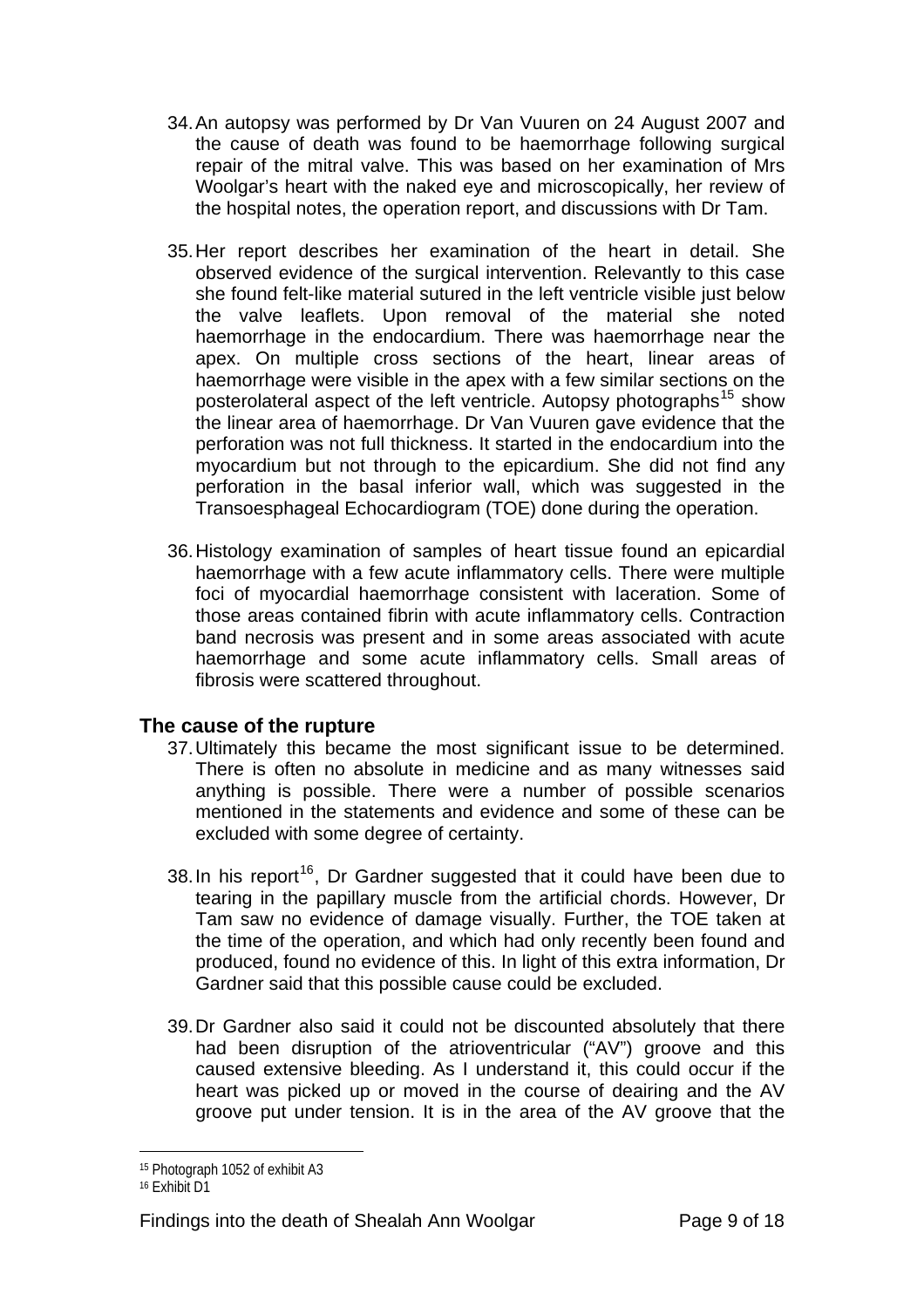- 34. An autopsy was performed by Dr Van Vuuren on 24 August 2007 and the cause of death was found to be haemorrhage following surgical repair of the mitral valve. This was based on her examination of Mrs Woolgar's heart with the naked eye and microscopically, her review of the hospital notes, the operation report, and discussions with Dr Tam.
- 35. Her report describes her examination of the heart in detail. She observed evidence of the surgical intervention. Relevantly to this case she found felt-like material sutured in the left ventricle visible just below the valve leaflets. Upon removal of the material she noted haemorrhage in the endocardium. There was haemorrhage near the apex. On multiple cross sections of the heart, linear areas of haemorrhage were visible in the apex with a few similar sections on the posterolateral aspect of the left ventricle. Autopsy photographs<sup>[15](#page-8-0)</sup> show the linear area of haemorrhage. Dr Van Vuuren gave evidence that the perforation was not full thickness. It started in the endocardium into the myocardium but not through to the epicardium. She did not find any perforation in the basal inferior wall, which was suggested in the Transoesphageal Echocardiogram (TOE) done during the operation.
- 36. Histology examination of samples of heart tissue found an epicardial haemorrhage with a few acute inflammatory cells. There were multiple foci of myocardial haemorrhage consistent with laceration. Some of those areas contained fibrin with acute inflammatory cells. Contraction band necrosis was present and in some areas associated with acute haemorrhage and some acute inflammatory cells. Small areas of fibrosis were scattered throughout.

## **The cause of the rupture**

- 37. Ultimately this became the most significant issue to be determined. There is often no absolute in medicine and as many witnesses said anything is possible. There were a number of possible scenarios mentioned in the statements and evidence and some of these can be excluded with some degree of certainty.
- 38. In his report<sup>[16](#page-8-1)</sup>, Dr Gardner suggested that it could have been due to tearing in the papillary muscle from the artificial chords. However, Dr Tam saw no evidence of damage visually. Further, the TOE taken at the time of the operation, and which had only recently been found and produced, found no evidence of this. In light of this extra information, Dr Gardner said that this possible cause could be excluded.
- 39. Dr Gardner also said it could not be discounted absolutely that there had been disruption of the atrioventricular ("AV") groove and this caused extensive bleeding. As I understand it, this could occur if the heart was picked up or moved in the course of deairing and the AV groove put under tension. It is in the area of the AV groove that the

<span id="page-8-0"></span><sup>15</sup> Photograph 1052 of exhibit A3

<span id="page-8-1"></span><sup>16</sup> Exhibit D1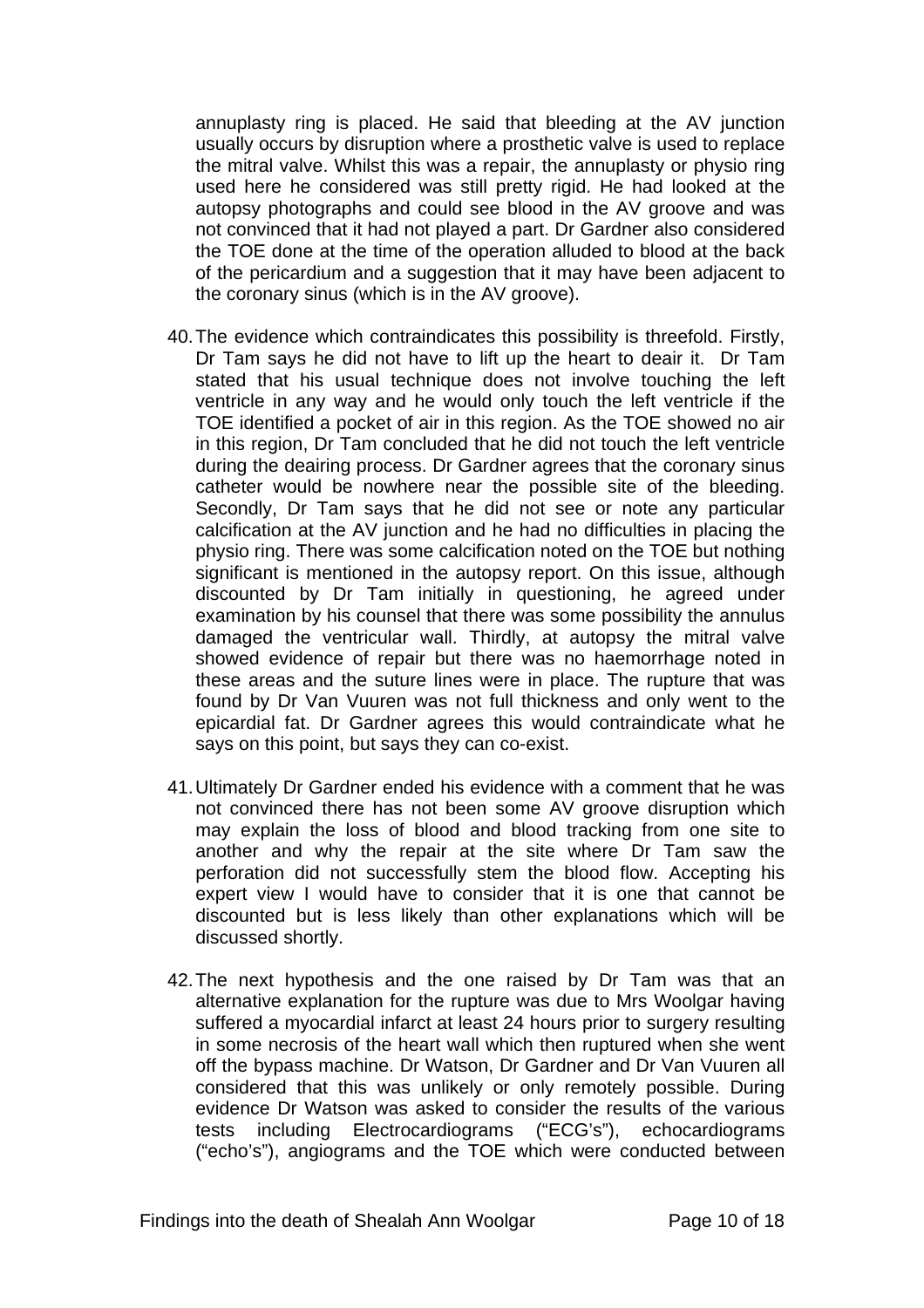annuplasty ring is placed. He said that bleeding at the AV junction usually occurs by disruption where a prosthetic valve is used to replace the mitral valve. Whilst this was a repair, the annuplasty or physio ring used here he considered was still pretty rigid. He had looked at the autopsy photographs and could see blood in the AV groove and was not convinced that it had not played a part. Dr Gardner also considered the TOE done at the time of the operation alluded to blood at the back of the pericardium and a suggestion that it may have been adjacent to the coronary sinus (which is in the AV groove).

- 40. The evidence which contraindicates this possibility is threefold. Firstly, Dr Tam says he did not have to lift up the heart to deair it. Dr Tam stated that his usual technique does not involve touching the left ventricle in any way and he would only touch the left ventricle if the TOE identified a pocket of air in this region. As the TOE showed no air in this region, Dr Tam concluded that he did not touch the left ventricle during the deairing process. Dr Gardner agrees that the coronary sinus catheter would be nowhere near the possible site of the bleeding. Secondly, Dr Tam says that he did not see or note any particular calcification at the AV junction and he had no difficulties in placing the physio ring. There was some calcification noted on the TOE but nothing significant is mentioned in the autopsy report. On this issue, although discounted by Dr Tam initially in questioning, he agreed under examination by his counsel that there was some possibility the annulus damaged the ventricular wall. Thirdly, at autopsy the mitral valve showed evidence of repair but there was no haemorrhage noted in these areas and the suture lines were in place. The rupture that was found by Dr Van Vuuren was not full thickness and only went to the epicardial fat. Dr Gardner agrees this would contraindicate what he says on this point, but says they can co-exist.
- 41. Ultimately Dr Gardner ended his evidence with a comment that he was not convinced there has not been some AV groove disruption which may explain the loss of blood and blood tracking from one site to another and why the repair at the site where Dr Tam saw the perforation did not successfully stem the blood flow. Accepting his expert view I would have to consider that it is one that cannot be discounted but is less likely than other explanations which will be discussed shortly.
- 42. The next hypothesis and the one raised by Dr Tam was that an alternative explanation for the rupture was due to Mrs Woolgar having suffered a myocardial infarct at least 24 hours prior to surgery resulting in some necrosis of the heart wall which then ruptured when she went off the bypass machine. Dr Watson, Dr Gardner and Dr Van Vuuren all considered that this was unlikely or only remotely possible. During evidence Dr Watson was asked to consider the results of the various tests including Electrocardiograms ("ECG's"), echocardiograms ("echo's"), angiograms and the TOE which were conducted between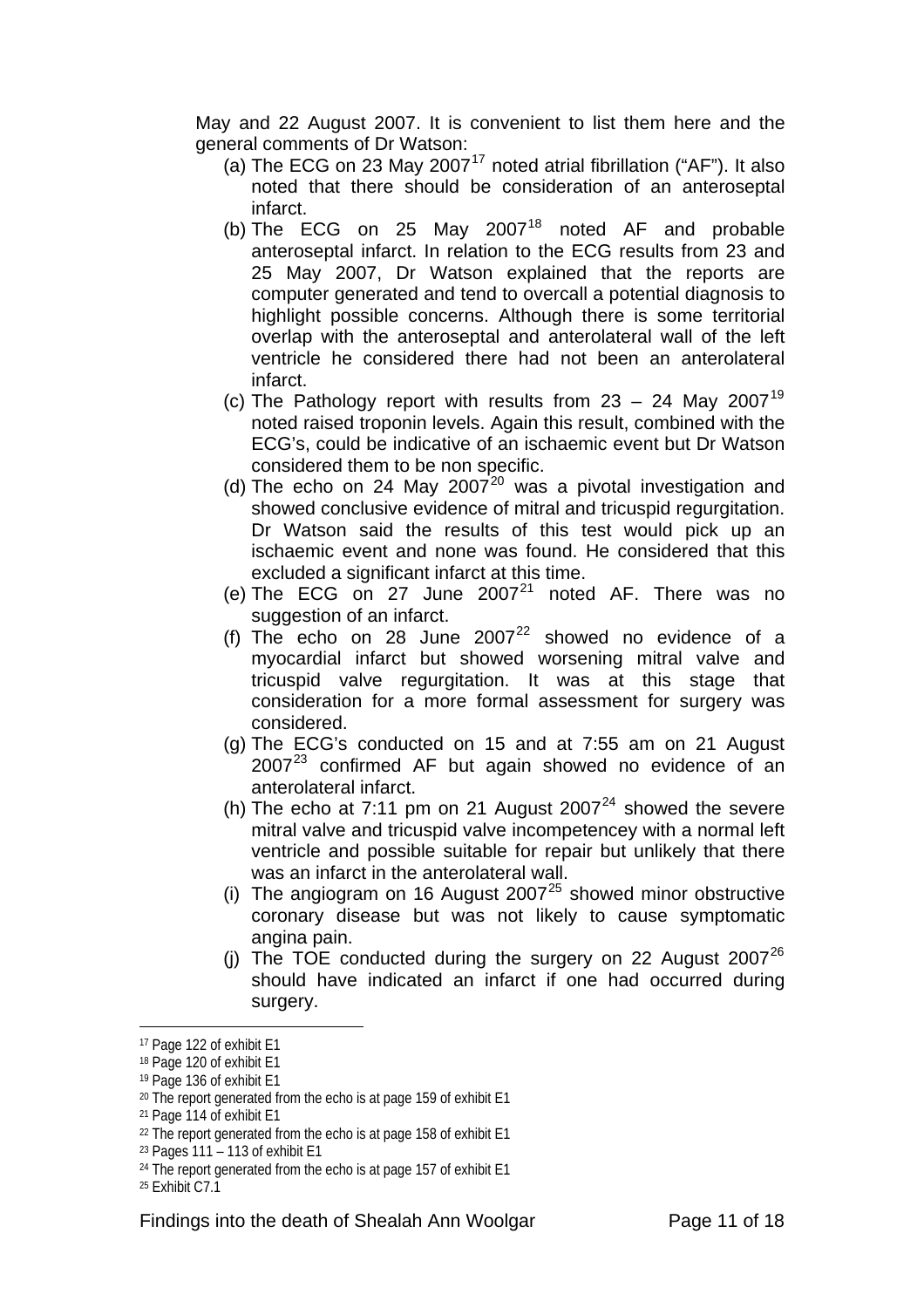May and 22 August 2007. It is convenient to list them here and the general comments of Dr Watson:

- (a) The ECG on 23 May 2007<sup>[17](#page-10-0)</sup> noted atrial fibrillation ("AF"). It also noted that there should be consideration of an anteroseptal infarct.
- (b) The ECG on 25 May  $2007^{18}$  $2007^{18}$  $2007^{18}$  noted AF and probable anteroseptal infarct. In relation to the ECG results from 23 and 25 May 2007, Dr Watson explained that the reports are computer generated and tend to overcall a potential diagnosis to highlight possible concerns. Although there is some territorial overlap with the anteroseptal and anterolateral wall of the left ventricle he considered there had not been an anterolateral infarct.
- (c) The Pathology report with results from  $23 24$  May  $2007^{19}$  $2007^{19}$  $2007^{19}$ noted raised troponin levels. Again this result, combined with the ECG's, could be indicative of an ischaemic event but Dr Watson considered them to be non specific.
- (d) The echo on 24 May [20](#page-10-3)07 $2^{20}$  was a pivotal investigation and showed conclusive evidence of mitral and tricuspid regurgitation. Dr Watson said the results of this test would pick up an ischaemic event and none was found. He considered that this excluded a significant infarct at this time.
- (e) The ECG on 27 June  $2007<sup>21</sup>$  $2007<sup>21</sup>$  $2007<sup>21</sup>$  noted AF. There was no suggestion of an infarct.
- (f) The echo on 28 June  $2007^{22}$  $2007^{22}$  $2007^{22}$  showed no evidence of a myocardial infarct but showed worsening mitral valve and tricuspid valve regurgitation. It was at this stage that consideration for a more formal assessment for surgery was considered.
- (g) The ECG's conducted on 15 and at 7:55 am on 21 August  $2007<sup>23</sup>$  $2007<sup>23</sup>$  $2007<sup>23</sup>$  confirmed AF but again showed no evidence of an anterolateral infarct.
- (h) The echo at 7:11 pm on 21 August  $2007<sup>24</sup>$  $2007<sup>24</sup>$  $2007<sup>24</sup>$  showed the severe mitral valve and tricuspid valve incompetencey with a normal left ventricle and possible suitable for repair but unlikely that there was an infarct in the anterolateral wall.
- (i) The angiogram on 16 August 2007<sup>[25](#page-10-8)</sup> showed minor obstructive coronary disease but was not likely to cause symptomatic angina pain.
- (j) The TOE conducted during the surgery on 22 August  $2007^{26}$  $2007^{26}$  $2007^{26}$ should have indicated an infarct if one had occurred during surgery.

<span id="page-10-1"></span><span id="page-10-0"></span><sup>17</sup> Page 122 of exhibit E1

<sup>18</sup> Page 120 of exhibit E1

<span id="page-10-2"></span><sup>19</sup> Page 136 of exhibit E1

<span id="page-10-3"></span><sup>&</sup>lt;sup>20</sup> The report generated from the echo is at page 159 of exhibit E1

<span id="page-10-4"></span><sup>21</sup> Page 114 of exhibit E1

<span id="page-10-5"></span><sup>&</sup>lt;sup>22</sup> The report generated from the echo is at page 158 of exhibit E1

<span id="page-10-6"></span> $23$  Pages 111 – 113 of exhibit E1

<span id="page-10-7"></span><sup>24</sup> The report generated from the echo is at page 157 of exhibit E1

<span id="page-10-8"></span><sup>25</sup> Exhibit C7.1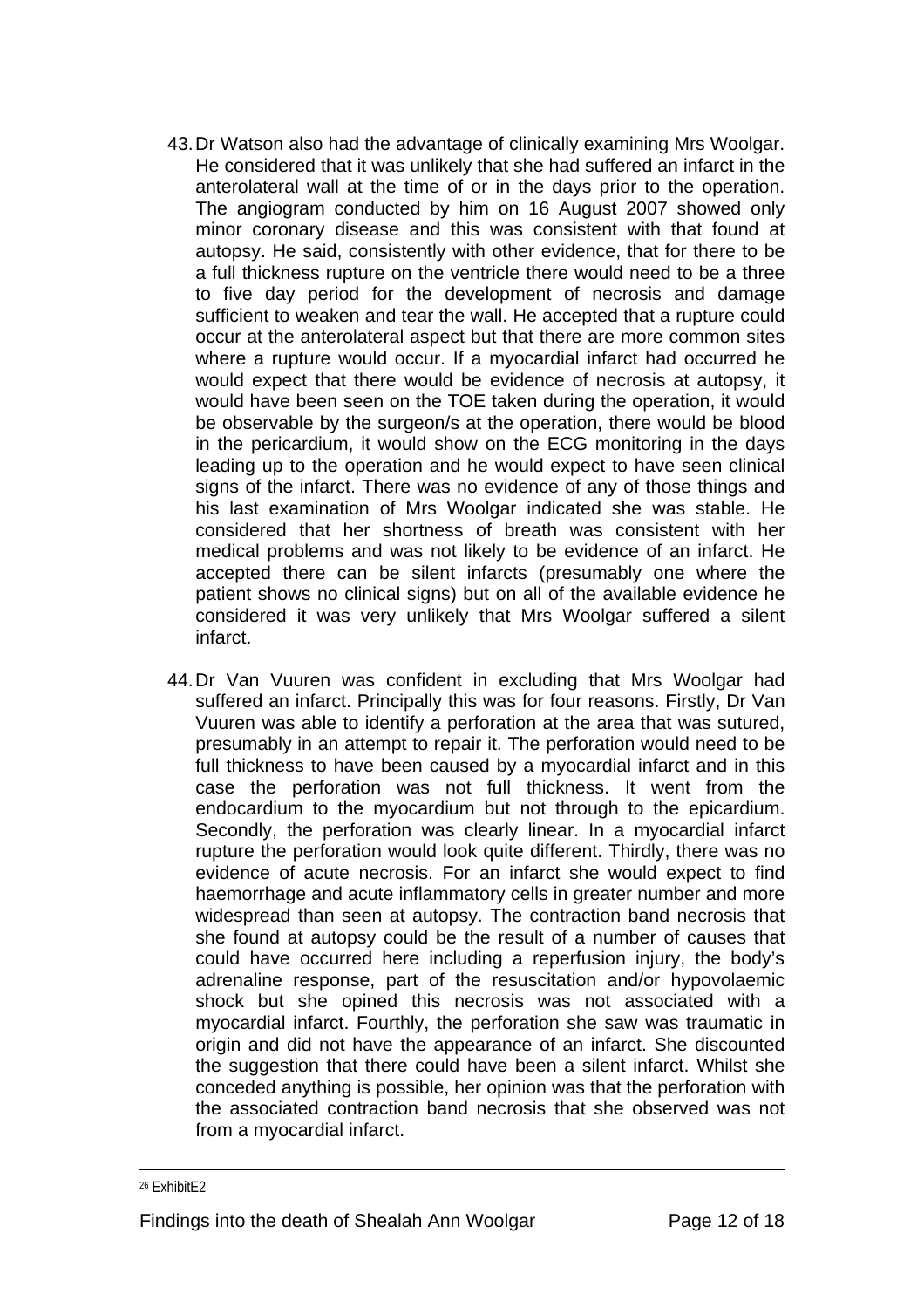- 43. Dr Watson also had the advantage of clinically examining Mrs Woolgar. He considered that it was unlikely that she had suffered an infarct in the anterolateral wall at the time of or in the days prior to the operation. The angiogram conducted by him on 16 August 2007 showed only minor coronary disease and this was consistent with that found at autopsy. He said, consistently with other evidence, that for there to be a full thickness rupture on the ventricle there would need to be a three to five day period for the development of necrosis and damage sufficient to weaken and tear the wall. He accepted that a rupture could occur at the anterolateral aspect but that there are more common sites where a rupture would occur. If a myocardial infarct had occurred he would expect that there would be evidence of necrosis at autopsy, it would have been seen on the TOE taken during the operation, it would be observable by the surgeon/s at the operation, there would be blood in the pericardium, it would show on the ECG monitoring in the days leading up to the operation and he would expect to have seen clinical signs of the infarct. There was no evidence of any of those things and his last examination of Mrs Woolgar indicated she was stable. He considered that her shortness of breath was consistent with her medical problems and was not likely to be evidence of an infarct. He accepted there can be silent infarcts (presumably one where the patient shows no clinical signs) but on all of the available evidence he considered it was very unlikely that Mrs Woolgar suffered a silent infarct.
- 44. Dr Van Vuuren was confident in excluding that Mrs Woolgar had suffered an infarct. Principally this was for four reasons. Firstly, Dr Van Vuuren was able to identify a perforation at the area that was sutured, presumably in an attempt to repair it. The perforation would need to be full thickness to have been caused by a myocardial infarct and in this case the perforation was not full thickness. It went from the endocardium to the myocardium but not through to the epicardium. Secondly, the perforation was clearly linear. In a myocardial infarct rupture the perforation would look quite different. Thirdly, there was no evidence of acute necrosis. For an infarct she would expect to find haemorrhage and acute inflammatory cells in greater number and more widespread than seen at autopsy. The contraction band necrosis that she found at autopsy could be the result of a number of causes that could have occurred here including a reperfusion injury, the body's adrenaline response, part of the resuscitation and/or hypovolaemic shock but she opined this necrosis was not associated with a myocardial infarct. Fourthly, the perforation she saw was traumatic in origin and did not have the appearance of an infarct. She discounted the suggestion that there could have been a silent infarct. Whilst she conceded anything is possible, her opinion was that the perforation with the associated contraction band necrosis that she observed was not from a myocardial infarct.

1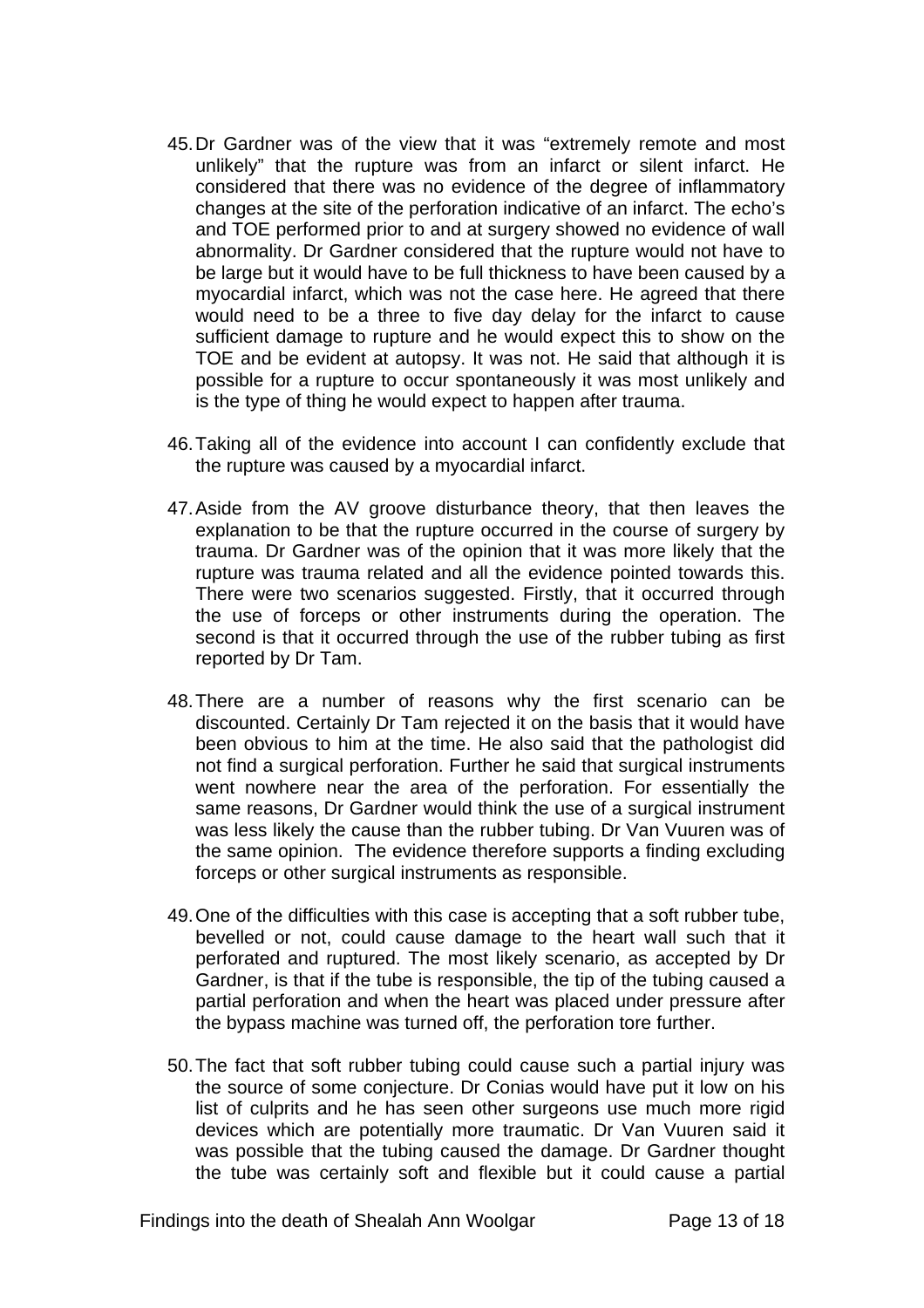- 45. Dr Gardner was of the view that it was "extremely remote and most unlikely" that the rupture was from an infarct or silent infarct. He considered that there was no evidence of the degree of inflammatory changes at the site of the perforation indicative of an infarct. The echo's and TOE performed prior to and at surgery showed no evidence of wall abnormality. Dr Gardner considered that the rupture would not have to be large but it would have to be full thickness to have been caused by a myocardial infarct, which was not the case here. He agreed that there would need to be a three to five day delay for the infarct to cause sufficient damage to rupture and he would expect this to show on the TOE and be evident at autopsy. It was not. He said that although it is possible for a rupture to occur spontaneously it was most unlikely and is the type of thing he would expect to happen after trauma.
- 46. Taking all of the evidence into account I can confidently exclude that the rupture was caused by a myocardial infarct.
- 47. Aside from the AV groove disturbance theory, that then leaves the explanation to be that the rupture occurred in the course of surgery by trauma. Dr Gardner was of the opinion that it was more likely that the rupture was trauma related and all the evidence pointed towards this. There were two scenarios suggested. Firstly, that it occurred through the use of forceps or other instruments during the operation. The second is that it occurred through the use of the rubber tubing as first reported by Dr Tam.
- 48. There are a number of reasons why the first scenario can be discounted. Certainly Dr Tam rejected it on the basis that it would have been obvious to him at the time. He also said that the pathologist did not find a surgical perforation. Further he said that surgical instruments went nowhere near the area of the perforation. For essentially the same reasons, Dr Gardner would think the use of a surgical instrument was less likely the cause than the rubber tubing. Dr Van Vuuren was of the same opinion. The evidence therefore supports a finding excluding forceps or other surgical instruments as responsible.
- 49. One of the difficulties with this case is accepting that a soft rubber tube, bevelled or not, could cause damage to the heart wall such that it perforated and ruptured. The most likely scenario, as accepted by Dr Gardner, is that if the tube is responsible, the tip of the tubing caused a partial perforation and when the heart was placed under pressure after the bypass machine was turned off, the perforation tore further.
- 50. The fact that soft rubber tubing could cause such a partial injury was the source of some conjecture. Dr Conias would have put it low on his list of culprits and he has seen other surgeons use much more rigid devices which are potentially more traumatic. Dr Van Vuuren said it was possible that the tubing caused the damage. Dr Gardner thought the tube was certainly soft and flexible but it could cause a partial

Findings into the death of Shealah Ann Woolgar Page 13 of 18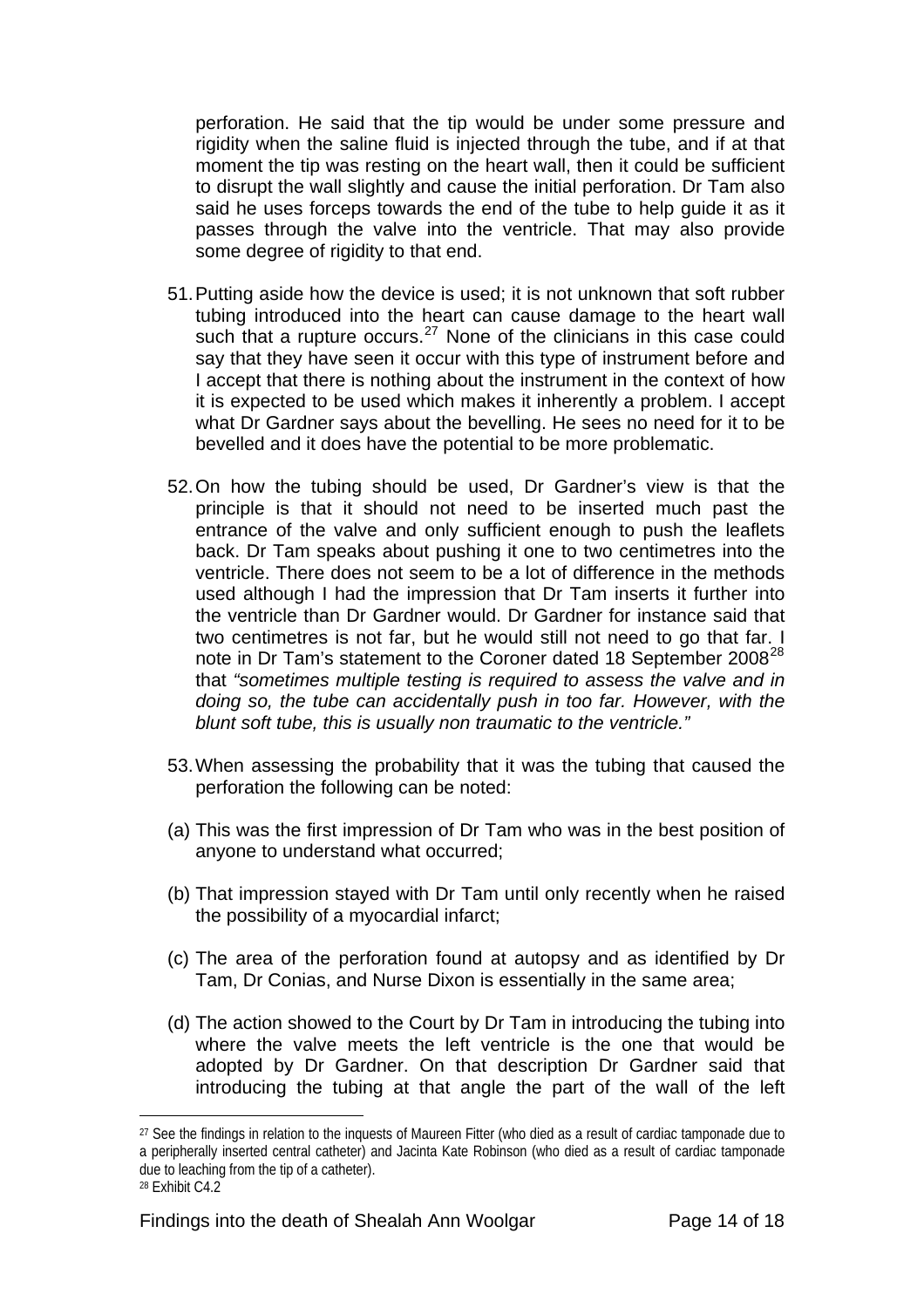perforation. He said that the tip would be under some pressure and rigidity when the saline fluid is injected through the tube, and if at that moment the tip was resting on the heart wall, then it could be sufficient to disrupt the wall slightly and cause the initial perforation. Dr Tam also said he uses forceps towards the end of the tube to help guide it as it passes through the valve into the ventricle. That may also provide some degree of rigidity to that end.

- 51. Putting aside how the device is used; it is not unknown that soft rubber tubing introduced into the heart can cause damage to the heart wall such that a rupture occurs.<sup>[27](#page-13-0)</sup> None of the clinicians in this case could say that they have seen it occur with this type of instrument before and I accept that there is nothing about the instrument in the context of how it is expected to be used which makes it inherently a problem. I accept what Dr Gardner says about the bevelling. He sees no need for it to be bevelled and it does have the potential to be more problematic.
- 52. On how the tubing should be used, Dr Gardner's view is that the principle is that it should not need to be inserted much past the entrance of the valve and only sufficient enough to push the leaflets back. Dr Tam speaks about pushing it one to two centimetres into the ventricle. There does not seem to be a lot of difference in the methods used although I had the impression that Dr Tam inserts it further into the ventricle than Dr Gardner would. Dr Gardner for instance said that two centimetres is not far, but he would still not need to go that far. I note in Dr Tam's statement to the Coroner dated 18 September 2008<sup>[28](#page-13-1)</sup> that *"sometimes multiple testing is required to assess the valve and in doing so, the tube can accidentally push in too far. However, with the blunt soft tube, this is usually non traumatic to the ventricle."*
- 53. When assessing the probability that it was the tubing that caused the perforation the following can be noted:
- (a) This was the first impression of Dr Tam who was in the best position of anyone to understand what occurred;
- (b) That impression stayed with Dr Tam until only recently when he raised the possibility of a myocardial infarct;
- (c) The area of the perforation found at autopsy and as identified by Dr Tam, Dr Conias, and Nurse Dixon is essentially in the same area;
- (d) The action showed to the Court by Dr Tam in introducing the tubing into where the valve meets the left ventricle is the one that would be adopted by Dr Gardner. On that description Dr Gardner said that introducing the tubing at that angle the part of the wall of the left

<span id="page-13-0"></span><sup>27</sup> See the findings in relation to the inquests of Maureen Fitter (who died as a result of cardiac tamponade due to a peripherally inserted central catheter) and Jacinta Kate Robinson (who died as a result of cardiac tamponade due to leaching from the tip of a catheter). 28 Exhibit C4.2

<span id="page-13-1"></span>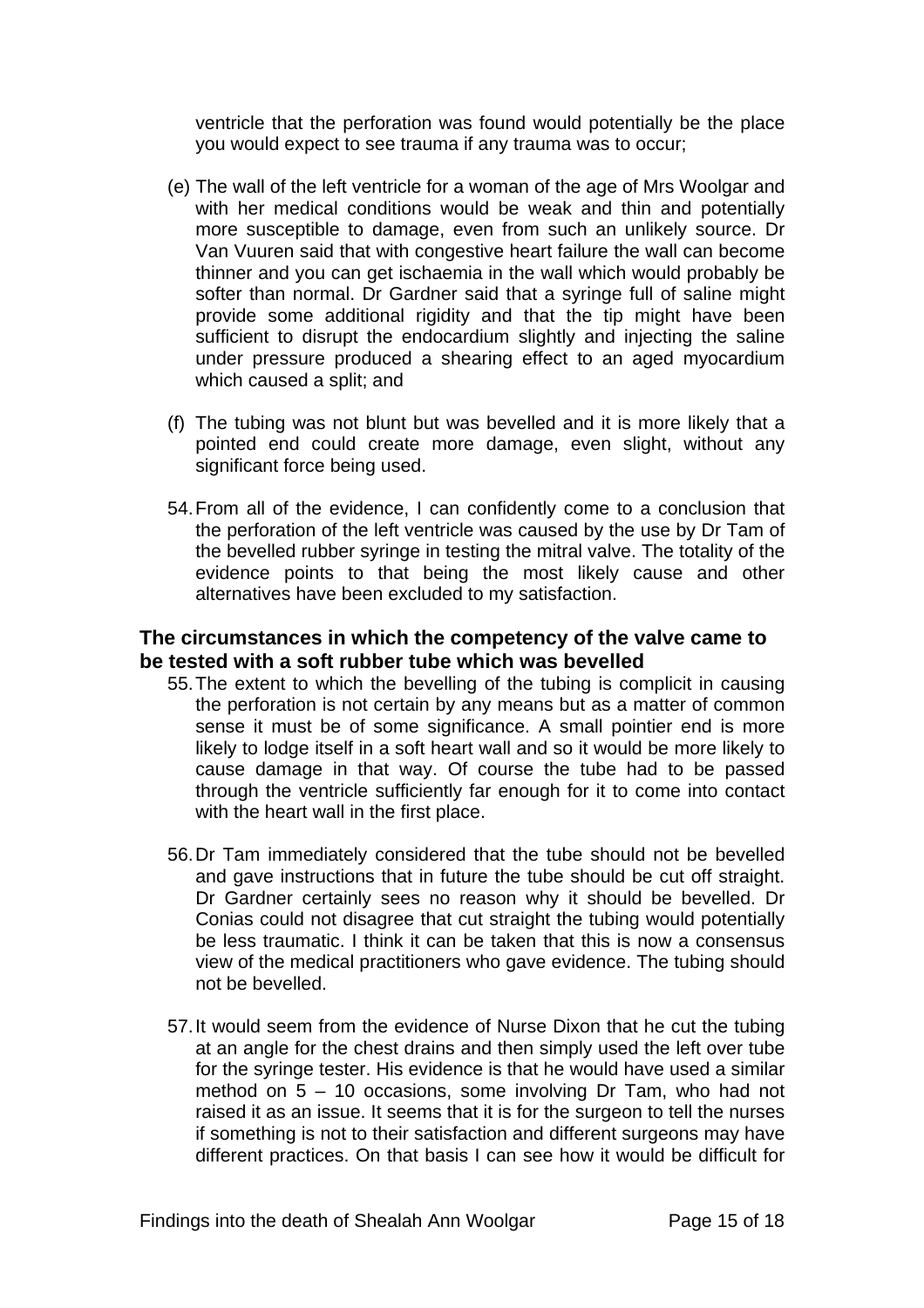ventricle that the perforation was found would potentially be the place you would expect to see trauma if any trauma was to occur;

- (e) The wall of the left ventricle for a woman of the age of Mrs Woolgar and with her medical conditions would be weak and thin and potentially more susceptible to damage, even from such an unlikely source. Dr Van Vuuren said that with congestive heart failure the wall can become thinner and you can get ischaemia in the wall which would probably be softer than normal. Dr Gardner said that a syringe full of saline might provide some additional rigidity and that the tip might have been sufficient to disrupt the endocardium slightly and injecting the saline under pressure produced a shearing effect to an aged myocardium which caused a split; and
- (f) The tubing was not blunt but was bevelled and it is more likely that a pointed end could create more damage, even slight, without any significant force being used.
- 54. From all of the evidence, I can confidently come to a conclusion that the perforation of the left ventricle was caused by the use by Dr Tam of the bevelled rubber syringe in testing the mitral valve. The totality of the evidence points to that being the most likely cause and other alternatives have been excluded to my satisfaction.

## **The circumstances in which the competency of the valve came to be tested with a soft rubber tube which was bevelled**

- 55. The extent to which the bevelling of the tubing is complicit in causing the perforation is not certain by any means but as a matter of common sense it must be of some significance. A small pointier end is more likely to lodge itself in a soft heart wall and so it would be more likely to cause damage in that way. Of course the tube had to be passed through the ventricle sufficiently far enough for it to come into contact with the heart wall in the first place.
- 56. Dr Tam immediately considered that the tube should not be bevelled and gave instructions that in future the tube should be cut off straight. Dr Gardner certainly sees no reason why it should be bevelled. Dr Conias could not disagree that cut straight the tubing would potentially be less traumatic. I think it can be taken that this is now a consensus view of the medical practitioners who gave evidence. The tubing should not be bevelled.
- 57. It would seem from the evidence of Nurse Dixon that he cut the tubing at an angle for the chest drains and then simply used the left over tube for the syringe tester. His evidence is that he would have used a similar method on 5 – 10 occasions, some involving Dr Tam, who had not raised it as an issue. It seems that it is for the surgeon to tell the nurses if something is not to their satisfaction and different surgeons may have different practices. On that basis I can see how it would be difficult for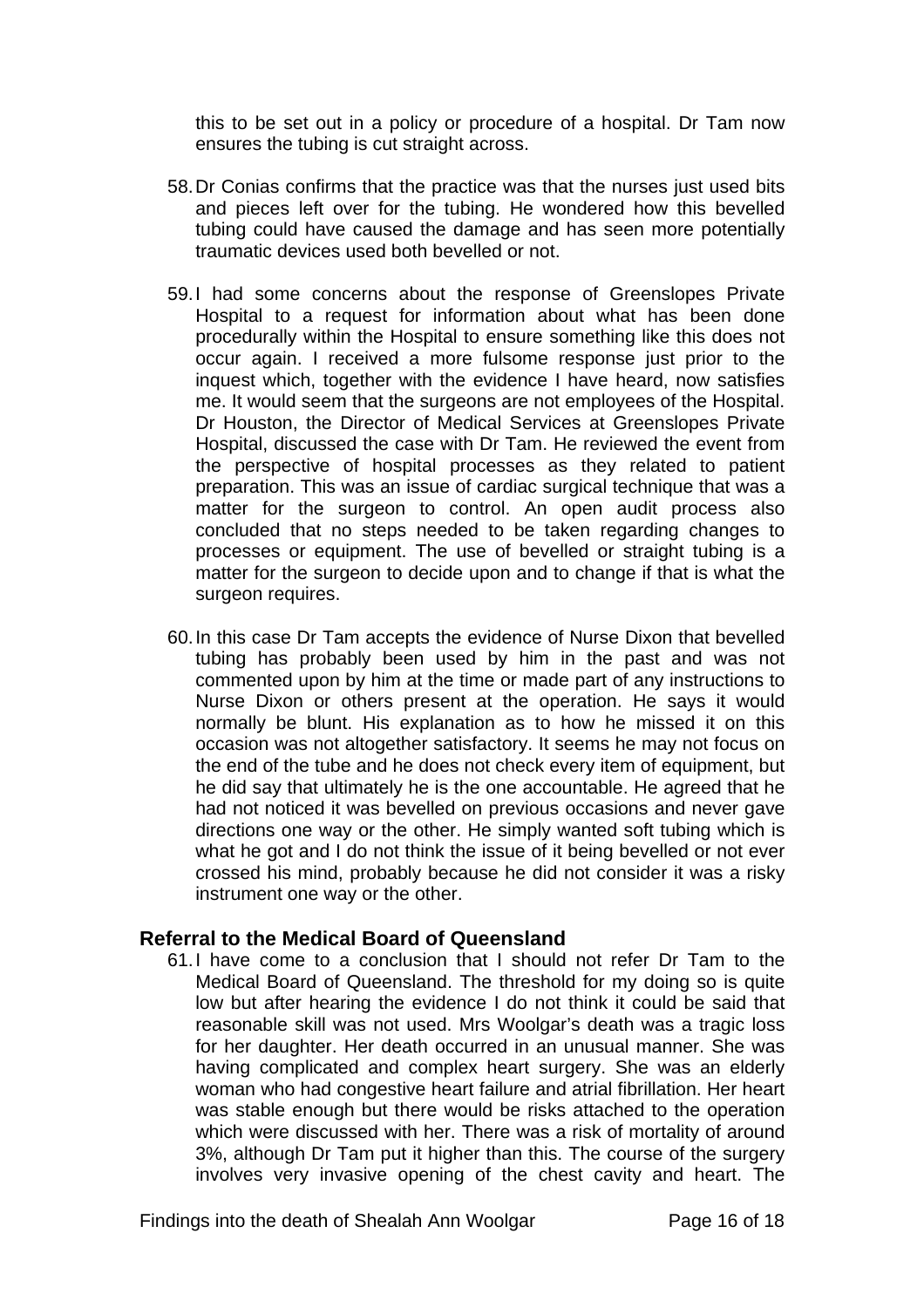this to be set out in a policy or procedure of a hospital. Dr Tam now ensures the tubing is cut straight across.

- 58. Dr Conias confirms that the practice was that the nurses just used bits and pieces left over for the tubing. He wondered how this bevelled tubing could have caused the damage and has seen more potentially traumatic devices used both bevelled or not.
- 59. I had some concerns about the response of Greenslopes Private Hospital to a request for information about what has been done procedurally within the Hospital to ensure something like this does not occur again. I received a more fulsome response just prior to the inquest which, together with the evidence I have heard, now satisfies me. It would seem that the surgeons are not employees of the Hospital. Dr Houston, the Director of Medical Services at Greenslopes Private Hospital, discussed the case with Dr Tam. He reviewed the event from the perspective of hospital processes as they related to patient preparation. This was an issue of cardiac surgical technique that was a matter for the surgeon to control. An open audit process also concluded that no steps needed to be taken regarding changes to processes or equipment. The use of bevelled or straight tubing is a matter for the surgeon to decide upon and to change if that is what the surgeon requires.
- 60. In this case Dr Tam accepts the evidence of Nurse Dixon that bevelled tubing has probably been used by him in the past and was not commented upon by him at the time or made part of any instructions to Nurse Dixon or others present at the operation. He says it would normally be blunt. His explanation as to how he missed it on this occasion was not altogether satisfactory. It seems he may not focus on the end of the tube and he does not check every item of equipment, but he did say that ultimately he is the one accountable. He agreed that he had not noticed it was bevelled on previous occasions and never gave directions one way or the other. He simply wanted soft tubing which is what he got and I do not think the issue of it being bevelled or not ever crossed his mind, probably because he did not consider it was a risky instrument one way or the other.

#### **Referral to the Medical Board of Queensland**

61. I have come to a conclusion that I should not refer Dr Tam to the Medical Board of Queensland. The threshold for my doing so is quite low but after hearing the evidence I do not think it could be said that reasonable skill was not used. Mrs Woolgar's death was a tragic loss for her daughter. Her death occurred in an unusual manner. She was having complicated and complex heart surgery. She was an elderly woman who had congestive heart failure and atrial fibrillation. Her heart was stable enough but there would be risks attached to the operation which were discussed with her. There was a risk of mortality of around 3%, although Dr Tam put it higher than this. The course of the surgery involves very invasive opening of the chest cavity and heart. The

Findings into the death of Shealah Ann Woolgar Page 16 of 18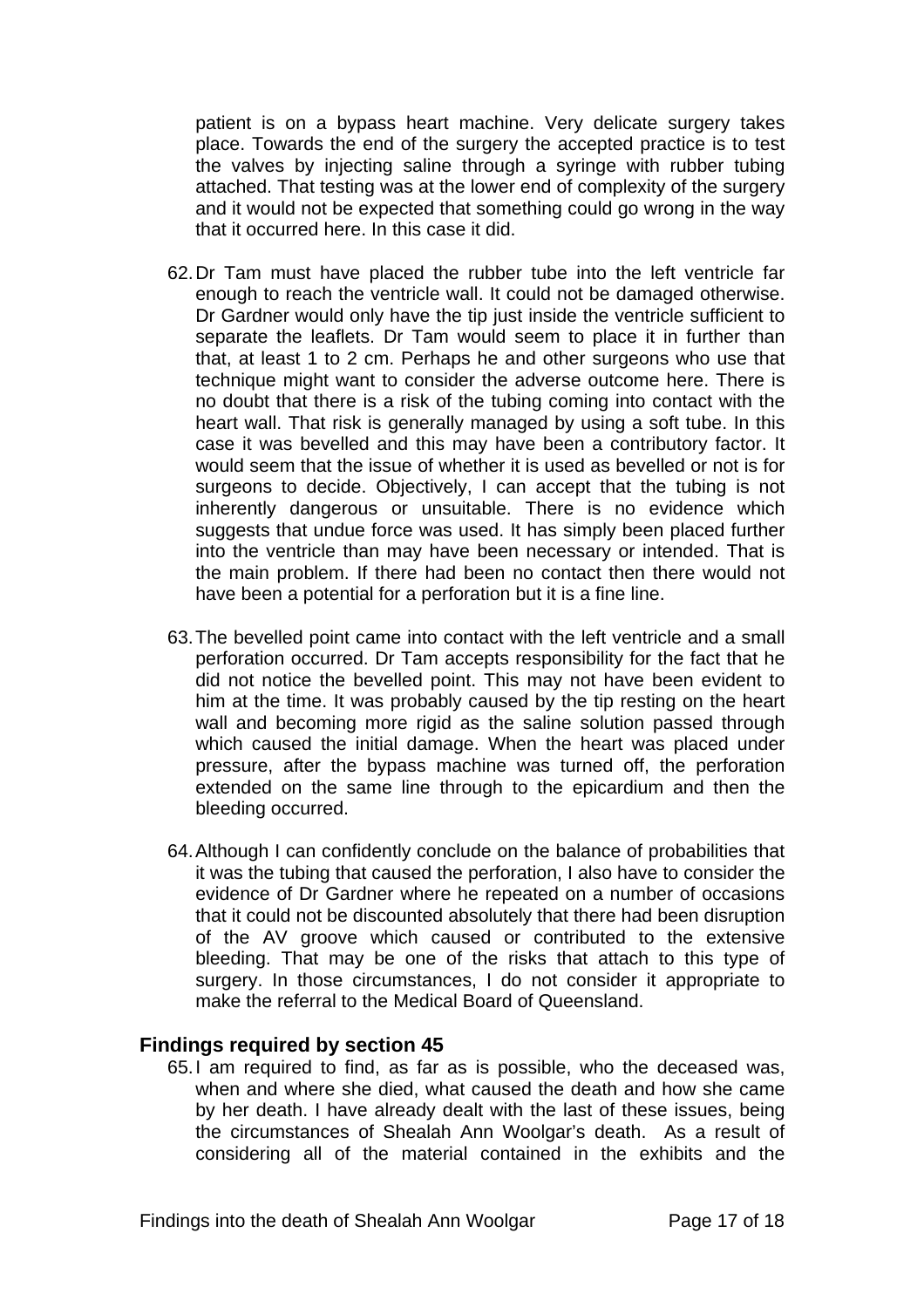patient is on a bypass heart machine. Very delicate surgery takes place. Towards the end of the surgery the accepted practice is to test the valves by injecting saline through a syringe with rubber tubing attached. That testing was at the lower end of complexity of the surgery and it would not be expected that something could go wrong in the way that it occurred here. In this case it did.

- 62. Dr Tam must have placed the rubber tube into the left ventricle far enough to reach the ventricle wall. It could not be damaged otherwise. Dr Gardner would only have the tip just inside the ventricle sufficient to separate the leaflets. Dr Tam would seem to place it in further than that, at least 1 to 2 cm. Perhaps he and other surgeons who use that technique might want to consider the adverse outcome here. There is no doubt that there is a risk of the tubing coming into contact with the heart wall. That risk is generally managed by using a soft tube. In this case it was bevelled and this may have been a contributory factor. It would seem that the issue of whether it is used as bevelled or not is for surgeons to decide. Objectively, I can accept that the tubing is not inherently dangerous or unsuitable. There is no evidence which suggests that undue force was used. It has simply been placed further into the ventricle than may have been necessary or intended. That is the main problem. If there had been no contact then there would not have been a potential for a perforation but it is a fine line.
- 63. The bevelled point came into contact with the left ventricle and a small perforation occurred. Dr Tam accepts responsibility for the fact that he did not notice the bevelled point. This may not have been evident to him at the time. It was probably caused by the tip resting on the heart wall and becoming more rigid as the saline solution passed through which caused the initial damage. When the heart was placed under pressure, after the bypass machine was turned off, the perforation extended on the same line through to the epicardium and then the bleeding occurred.
- 64. Although I can confidently conclude on the balance of probabilities that it was the tubing that caused the perforation, I also have to consider the evidence of Dr Gardner where he repeated on a number of occasions that it could not be discounted absolutely that there had been disruption of the AV groove which caused or contributed to the extensive bleeding. That may be one of the risks that attach to this type of surgery. In those circumstances, I do not consider it appropriate to make the referral to the Medical Board of Queensland.

#### **Findings required by section 45**

65. I am required to find, as far as is possible, who the deceased was, when and where she died, what caused the death and how she came by her death. I have already dealt with the last of these issues, being the circumstances of Shealah Ann Woolgar's death. As a result of considering all of the material contained in the exhibits and the